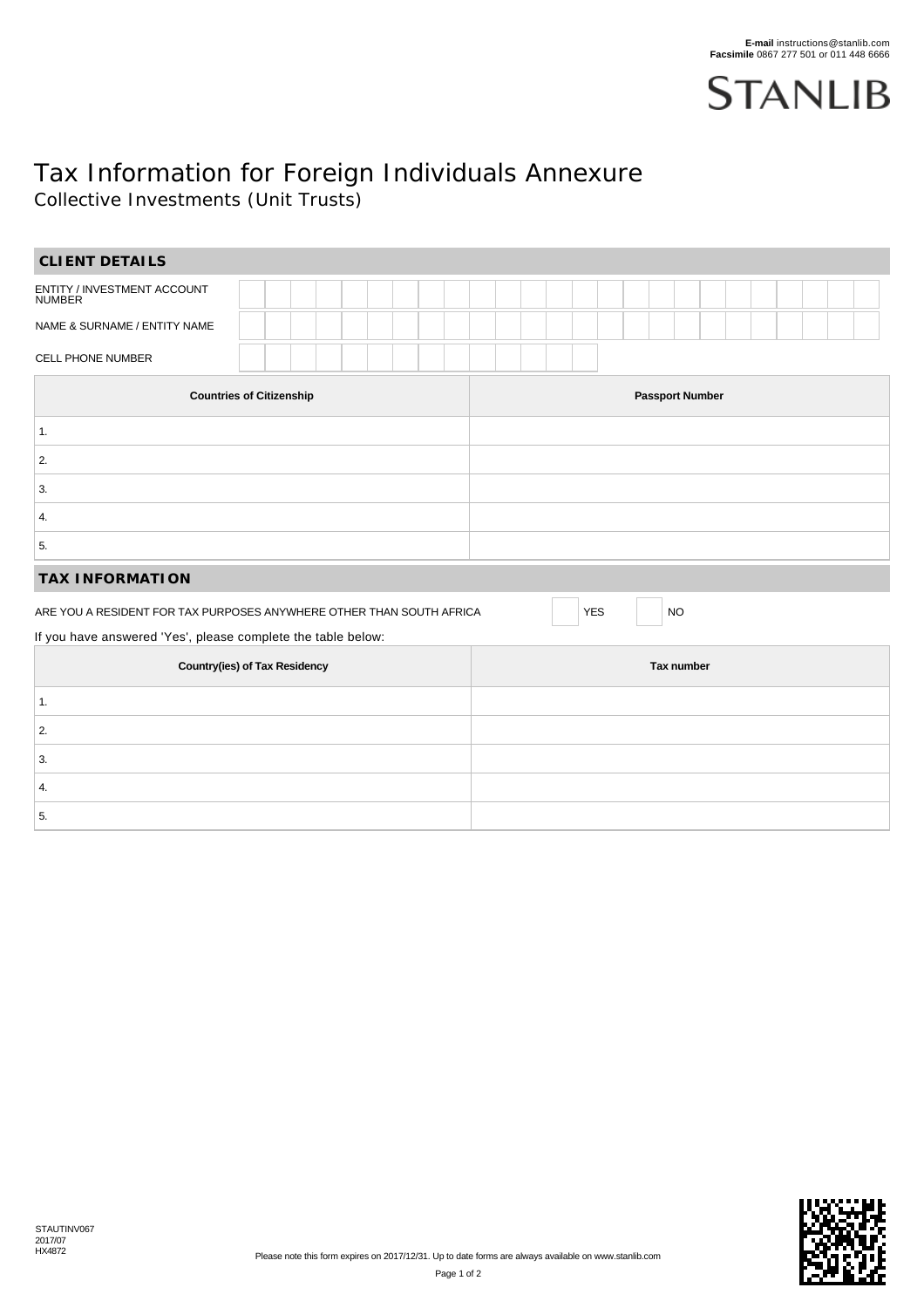

## Tax Information for Foreign Individuals Annexure Collective Investments (Unit Trusts)

| CLIENT DETAILS                                                       |  |  |            |                        |                         |  |  |  |  |  |  |  |  |  |  |
|----------------------------------------------------------------------|--|--|------------|------------------------|-------------------------|--|--|--|--|--|--|--|--|--|--|
| ENTITY / INVESTMENT ACCOUNT<br>NUMBER                                |  |  |            |                        |                         |  |  |  |  |  |  |  |  |  |  |
| NAME & SURNAME / ENTITY NAME                                         |  |  |            |                        |                         |  |  |  |  |  |  |  |  |  |  |
| CELL PHONE NUMBER                                                    |  |  |            |                        |                         |  |  |  |  |  |  |  |  |  |  |
| <b>Countries of Citizenship</b>                                      |  |  |            | <b>Passport Number</b> |                         |  |  |  |  |  |  |  |  |  |  |
| 1.                                                                   |  |  |            |                        |                         |  |  |  |  |  |  |  |  |  |  |
| 2.                                                                   |  |  |            |                        |                         |  |  |  |  |  |  |  |  |  |  |
| 3.                                                                   |  |  |            |                        |                         |  |  |  |  |  |  |  |  |  |  |
| 4.                                                                   |  |  |            |                        |                         |  |  |  |  |  |  |  |  |  |  |
| 5.                                                                   |  |  |            |                        |                         |  |  |  |  |  |  |  |  |  |  |
| <b>TAX INFORMATION</b>                                               |  |  |            |                        |                         |  |  |  |  |  |  |  |  |  |  |
| ARE YOU A RESIDENT FOR TAX PURPOSES ANYWHERE OTHER THAN SOUTH AFRICA |  |  |            |                        | <b>YES</b><br><b>NO</b> |  |  |  |  |  |  |  |  |  |  |
| If you have answered 'Yes', please complete the table below:         |  |  |            |                        |                         |  |  |  |  |  |  |  |  |  |  |
| <b>Country(ies) of Tax Residency</b>                                 |  |  | Tax number |                        |                         |  |  |  |  |  |  |  |  |  |  |
| 1.                                                                   |  |  |            |                        |                         |  |  |  |  |  |  |  |  |  |  |
| 2.                                                                   |  |  |            |                        |                         |  |  |  |  |  |  |  |  |  |  |
| 3.                                                                   |  |  |            |                        |                         |  |  |  |  |  |  |  |  |  |  |
| 4.                                                                   |  |  |            |                        |                         |  |  |  |  |  |  |  |  |  |  |
| 5.                                                                   |  |  |            |                        |                         |  |  |  |  |  |  |  |  |  |  |